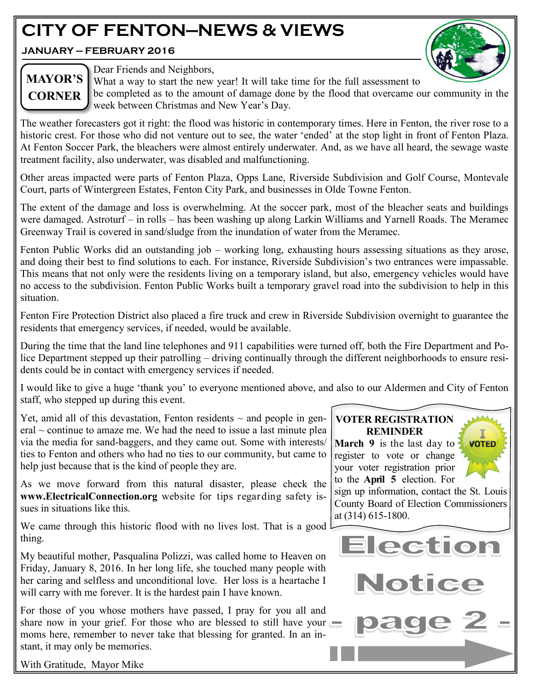## **CITY OF FENTON—NEWS & VIEWS**

**JANUARY — FEBRUARY 2016**



## **MAYOR'S CORNER**

Dear Friends and Neighbors,

What a way to start the new year! It will take time for the full assessment to be completed as to the amount of damage done by the flood that overcame our community in the week between Christmas and New Year's Day.

The weather forecasters got it right: the flood was historic in contemporary times. Here in Fenton, the river rose to a historic crest. For those who did not venture out to see, the water 'ended' at the stop light in front of Fenton Plaza. At Fenton Soccer Park, the bleachers were almost entirely underwater. And, as we have all heard, the sewage waste treatment facility, also underwater, was disabled and malfunctioning.

Other areas impacted were parts of Fenton Plaza, Opps Lane, Riverside Subdivision and Golf Course, Montevale Court, parts of Wintergreen Estates, Fenton City Park, and businesses in Olde Towne Fenton.

The extent of the damage and loss is overwhelming. At the soccer park, most of the bleacher seats and buildings were damaged. Astroturf – in rolls – has been washing up along Larkin Williams and Yarnell Roads. The Meramec Greenway Trail is covered in sand/sludge from the inundation of water from the Meramec.

Fenton Public Works did an outstanding job – working long, exhausting hours assessing situations as they arose, and doing their best to find solutions to each. For instance, Riverside Subdivision's two entrances were impassable. This means that not only were the residents living on a temporary island, but also, emergency vehicles would have no access to the subdivision. Fenton Public Works built a temporary gravel road into the subdivision to help in this situation.

Fenton Fire Protection District also placed a fire truck and crew in Riverside Subdivision overnight to guarantee the residents that emergency services, if needed, would be available.

During the time that the land line telephones and 911 capabilities were turned off, both the Fire Department and Police Department stepped up their patrolling – driving continually through the different neighborhoods to ensure residents could be in contact with emergency services if needed.

I would like to give a huge 'thank you' to everyone mentioned above, and also to our Aldermen and City of Fenton staff, who stepped up during this event.

Yet, amid all of this devastation, Fenton residents  $\sim$  and people in gen $eral \sim$  continue to amaze me. We had the need to issue a last minute plea via the media for sand-baggers, and they came out. Some with interests/ ties to Fenton and others who had no ties to our community, but came to help just because that is the kind of people they are.

As we move forward from this natural disaster, please check the **www.ElectricalConnection.org** website for tips regarding safety issues in situations like this.

We came through this historic flood with no lives lost. That is a good thing.

My beautiful mother, Pasqualina Polizzi, was called home to Heaven on Friday, January 8, 2016. In her long life, she touched many people with her caring and selfless and unconditional love. Her loss is a heartache I will carry with me forever. It is the hardest pain I have known.

For those of you whose mothers have passed, I pray for you all and share now in your grief. For those who are blessed to still have your moms here, remember to never take that blessing for granted. In an instant, it may only be memories.

#### **VOTER REGISTRATION REMINDER**

**March 9** is the last day to register to vote or change your voter registration prior to the **April 5** election. For

sign up information, contact the St. Louis County Board of Election Commissioners at (314) 615-1800.

**VOTED** 



With Gratitude, Mayor Mike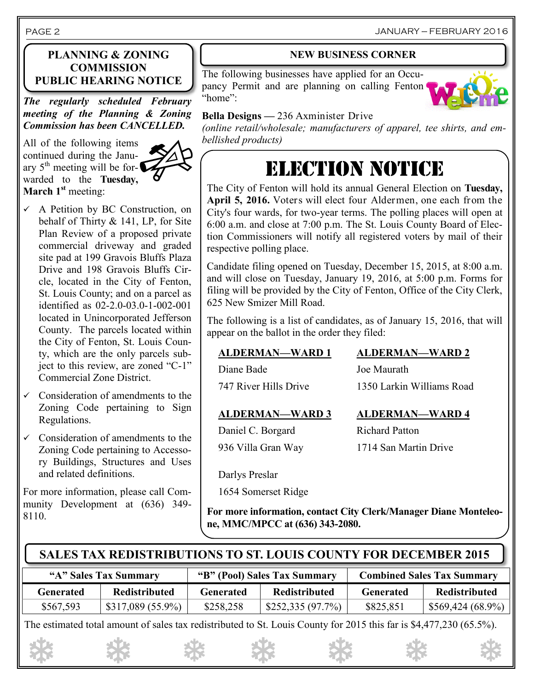#### **PLANNING & ZONING COMMISSION PUBLIC HEARING NOTICE**

*The regularly scheduled February meeting of the Planning & Zoning Commission has been CANCELLED.*

All of the following items continued during the January  $5<sup>th</sup>$  meeting will be forwarded to the **Tuesday, March 1st** meeting:



- $\checkmark$  A Petition by BC Construction, on behalf of Thirty & 141, LP, for Site Plan Review of a proposed private commercial driveway and graded site pad at 199 Gravois Bluffs Plaza Drive and 198 Gravois Bluffs Circle, located in the City of Fenton, St. Louis County; and on a parcel as identified as 02-2.0-03.0-1-002-001 located in Unincorporated Jefferson County. The parcels located within the City of Fenton, St. Louis County, which are the only parcels subject to this review, are zoned "C-1" Commercial Zone District.
- $\checkmark$  Consideration of amendments to the Zoning Code pertaining to Sign Regulations.
- $\checkmark$  Consideration of amendments to the Zoning Code pertaining to Accessory Buildings, Structures and Uses and related definitions.

For more information, please call Community Development at (636) 349- 8110.

#### **NEW BUSINESS CORNER**

The following businesses have applied for an Occupancy Permit and are planning on calling Fenton "home":



JANUARY — FEBRUARY 2016

#### **Bella Designs —** 236 Axminister Drive

*(online retail/wholesale; manufacturers of apparel, tee shirts, and embellished products)*

## ELECTION NOTICE

The City of Fenton will hold its annual General Election on **Tuesday, April 5, 2016.** Voters will elect four Aldermen, one each from the City's four wards, for two-year terms. The polling places will open at 6:00 a.m. and close at 7:00 p.m. The St. Louis County Board of Election Commissioners will notify all registered voters by mail of their respective polling place.

Candidate filing opened on Tuesday, December 15, 2015, at 8:00 a.m. and will close on Tuesday, January 19, 2016, at 5:00 p.m. Forms for filing will be provided by the City of Fenton, Office of the City Clerk, 625 New Smizer Mill Road.

The following is a list of candidates, as of January 15, 2016, that will appear on the ballot in the order they filed:

Diane Bade Joe Maurath

747 River Hills Drive 1350 Larkin Williams Road

#### **ALDERMAN—WARD 3 ALDERMAN—WARD 4**

Daniel C. Borgard Richard Patton 936 Villa Gran Way 1714 San Martin Drive

Darlys Preslar

1654 Somerset Ridge

**For more information, contact City Clerk/Manager Diane Monteleone, MMC/MPCC at (636) 343-2080.**

#### **SALES TAX REDISTRIBUTIONS TO ST. LOUIS COUNTY FOR DECEMBER 2015**

| "A" Sales Tax Summary |                      | "B" (Pool) Sales Tax Summary |                  | <b>Combined Sales Tax Summary</b> |                                 |
|-----------------------|----------------------|------------------------------|------------------|-----------------------------------|---------------------------------|
| Generated             | <b>Redistributed</b> | Generated                    | Redistributed    | Generated                         | Redistributed                   |
| \$567,593             | $$317,089(55.9\%)$   | \$258,258                    | \$252,335(97.7%) | \$825,851                         | $\mid$ \$569,424 (68.9%) $\mid$ |

The estimated total amount of sales tax redistributed to St. Louis County for 2015 this far is \$4,477,230 (65.5%).

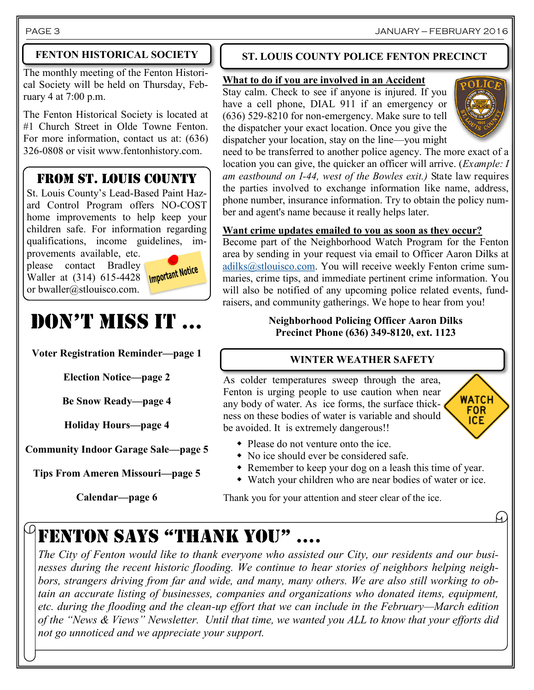#### PAGE 3 JANUARY — FEBRUARY 2016

#### **FENTON HISTORICAL SOCIETY**

The monthly meeting of the Fenton Historical Society will be held on Thursday, February 4 at 7:00 p.m.

The Fenton Historical Society is located at #1 Church Street in Olde Towne Fenton. For more information, contact us at: (636) 326-0808 or visit www.fentonhistory.com.

#### FROM ST. LOUIS COUNTY

St. Louis County's Lead-Based Paint Hazard Control Program offers NO-COST home improvements to help keep your children safe. For information regarding qualifications, income guidelines, improvements available, etc.

please contact Bradley Waller at (314) 615-4428 **Important Notice** or bwaller@stlouisco.com.

## DON'T MISS IT ...

**Voter Registration Reminder—page 1**

**Election Notice—page 2**

**Be Snow Ready—page 4**

**Holiday Hours—page 4**

**Community Indoor Garage Sale—page 5**

**Tips From Ameren Missouri—page 5**

**Calendar—page 6**

#### **ST. LOUIS COUNTY POLICE FENTON PRECINCT**

#### **What to do if you are involved in an Accident**

Stay calm. Check to see if anyone is injured. If you have a cell phone, DIAL 911 if an emergency or (636) 529-8210 for non-emergency. Make sure to tell the dispatcher your exact location. Once you give the dispatcher your location, stay on the line—you might



**WATCH FOR** ICE.

h

need to be transferred to another police agency. The more exact of a location you can give, the quicker an officer will arrive. (*Example: I am eastbound on I-44, west of the Bowles exit.)* State law requires the parties involved to exchange information like name, address, phone number, insurance information. Try to obtain the policy number and agent's name because it really helps later.

#### **Want crime updates emailed to you as soon as they occur?**

Become part of the Neighborhood Watch Program for the Fenton area by sending in your request via email to Officer Aaron Dilks at [adilks@stlouisco.com.](mailto:adilks@stlouisco.com) You will receive weekly Fenton crime summaries, crime tips, and immediate pertinent crime information. You will also be notified of any upcoming police related events, fundraisers, and community gatherings. We hope to hear from you!

#### **Neighborhood Policing Officer Aaron Dilks Precinct Phone (636) 349-8120, ext. 1123**

#### **WINTER WEATHER SAFETY**

As colder temperatures sweep through the area, Fenton is urging people to use caution when near any body of water. As ice forms, the surface thickness on these bodies of water is variable and should be avoided. It is extremely dangerous!!



- No ice should ever be considered safe.
- Remember to keep your dog on a leash this time of year.
- Watch your children who are near bodies of water or ice.

Thank you for your attention and steer clear of the ice.

## $^\circ$ FENTON SAYS "THANK YOU"

*The City of Fenton would like to thank everyone who assisted our City, our residents and our businesses during the recent historic flooding. We continue to hear stories of neighbors helping neighbors, strangers driving from far and wide, and many, many others. We are also still working to obtain an accurate listing of businesses, companies and organizations who donated items, equipment, etc. during the flooding and the clean-up effort that we can include in the February—March edition of the "News & Views" Newsletter. Until that time, we wanted you ALL to know that your efforts did not go unnoticed and we appreciate your support.*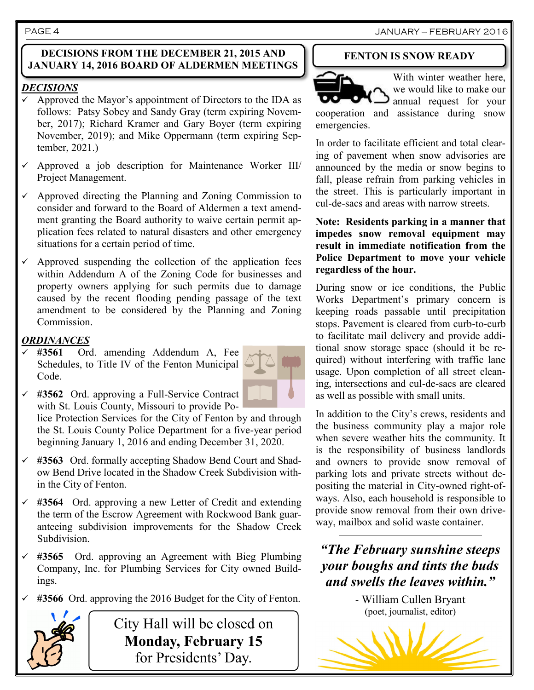#### **DECISIONS FROM THE DECEMBER 21, 2015 AND JANUARY 14, 2016 BOARD OF ALDERMEN MEETINGS**

#### *DECISIONS*

- Approved the Mayor's appointment of Directors to the IDA as follows: Patsy Sobey and Sandy Gray (term expiring November, 2017); Richard Kramer and Gary Boyer (term expiring November, 2019); and Mike Oppermann (term expiring September, 2021.)
- Approved a job description for Maintenance Worker III/ Project Management.
- Approved directing the Planning and Zoning Commission to consider and forward to the Board of Aldermen a text amendment granting the Board authority to waive certain permit application fees related to natural disasters and other emergency situations for a certain period of time.
- $\checkmark$  Approved suspending the collection of the application fees within Addendum A of the Zoning Code for businesses and property owners applying for such permits due to damage caused by the recent flooding pending passage of the text amendment to be considered by the Planning and Zoning Commission.

#### *ORDINANCES*

 **#3561** Ord. amending Addendum A, Fee Schedules, to Title IV of the Fenton Municipal Code.



 **#3562** Ord. approving a Full-Service Contract with St. Louis County, Missouri to provide Po-

lice Protection Services for the City of Fenton by and through the St. Louis County Police Department for a five-year period beginning January 1, 2016 and ending December 31, 2020.

- **#3563** Ord. formally accepting Shadow Bend Court and Shadow Bend Drive located in the Shadow Creek Subdivision within the City of Fenton.
- **#3564** Ord. approving a new Letter of Credit and extending the term of the Escrow Agreement with Rockwood Bank guaranteeing subdivision improvements for the Shadow Creek Subdivision.
- **#3565** Ord. approving an Agreement with Bieg Plumbing Company, Inc. for Plumbing Services for City owned Buildings.
- **#3566** Ord. approving the 2016 Budget for the City of Fenton.



City Hall will be closed on **Monday, February 15** for Presidents' Day.

#### **FENTON IS SNOW READY**



With winter weather here, we would like to make our annual request for your

cooperation and assistance during snow emergencies.

In order to facilitate efficient and total clearing of pavement when snow advisories are announced by the media or snow begins to fall, please refrain from parking vehicles in the street. This is particularly important in cul-de-sacs and areas with narrow streets.

**Note: Residents parking in a manner that impedes snow removal equipment may result in immediate notification from the Police Department to move your vehicle regardless of the hour.**

During snow or ice conditions, the Public Works Department's primary concern is keeping roads passable until precipitation stops. Pavement is cleared from curb-to-curb to facilitate mail delivery and provide additional snow storage space (should it be required) without interfering with traffic lane usage. Upon completion of all street cleaning, intersections and cul-de-sacs are cleared as well as possible with small units.

In addition to the City's crews, residents and the business community play a major role when severe weather hits the community. It is the responsibility of business landlords and owners to provide snow removal of parking lots and private streets without depositing the material in City-owned right-ofways. Also, each household is responsible to provide snow removal from their own driveway, mailbox and solid waste container.

*"The February sunshine steeps your boughs and tints the buds and swells the leaves within."*

> - William Cullen Bryant (poet, journalist, editor)

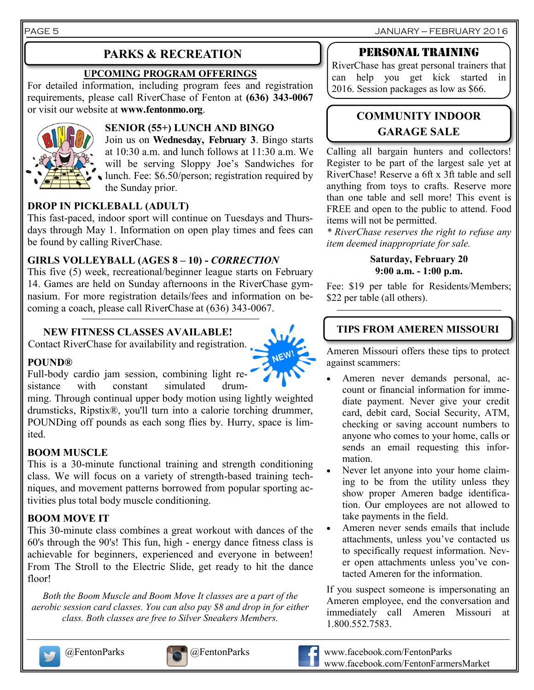PAGE 5 JANUARY — FEBRUARY 2016

### **PARKS & RECREATION**

#### **UPCOMING PROGRAM OFFERINGS**

For detailed information, including program fees and registration requirements, please call RiverChase of Fenton at **(636) 343-0067**  or visit our website at **www.fentonmo.org**.



#### **SENIOR (55+) LUNCH AND BINGO**

Join us on **Wednesday, February 3**. Bingo starts at 10:30 a.m. and lunch follows at 11:30 a.m. We will be serving Sloppy Joe's Sandwiches for lunch. Fee: \$6.50/person; registration required by the Sunday prior.

#### **DROP IN PICKLEBALL (ADULT)**

This fast-paced, indoor sport will continue on Tuesdays and Thursdays through May 1. Information on open play times and fees can be found by calling RiverChase.

#### **GIRLS VOLLEYBALL (AGES 8 – 10) -** *CORRECTION*

This five (5) week, recreational/beginner league starts on February 14. Games are held on Sunday afternoons in the RiverChase gymnasium. For more registration details/fees and information on becoming a coach, please call RiverChase at (636) 343-0067.

#### **NEW FITNESS CLASSES AVAILABLE!**

Contact RiverChase for availability and registration.



#### **POUND®**

Full-body cardio jam session, combining light resistance with constant simulated drum-

ming. Through continual upper body motion using lightly weighted drumsticks, Ripstix®, you'll turn into a calorie torching drummer, POUNDing off pounds as each song flies by. Hurry, space is limited.

#### **BOOM MUSCLE**

This is a 30-minute functional training and strength conditioning class. We will focus on a variety of strength-based training techniques, and movement patterns borrowed from popular sporting activities plus total body muscle conditioning.

#### **BOOM MOVE IT**

This 30-minute class combines a great workout with dances of the 60's through the 90's! This fun, high - energy dance fitness class is achievable for beginners, experienced and everyone in between! From The Stroll to the Electric Slide, get ready to hit the dance floor!

*Both the Boom Muscle and Boom Move It classes are a part of the aerobic session card classes. You can also pay \$8 and drop in for either class. Both classes are free to Silver Sneakers Members.*





### Personal training

RiverChase has great personal trainers that can help you get kick started in 2016. Session packages as low as \$66.

### **COMMUNITY INDOOR GARAGE SALE**

Calling all bargain hunters and collectors! Register to be part of the largest sale yet at RiverChase! Reserve a 6ft x 3ft table and sell anything from toys to crafts. Reserve more than one table and sell more! This event is FREE and open to the public to attend. Food items will not be permitted.

*\* RiverChase reserves the right to refuse any item deemed inappropriate for sale.*

#### **Saturday, February 20 9:00 a.m. - 1:00 p.m.**

Fee: \$19 per table for Residents/Members; \$22 per table (all others).

#### **TIPS FROM AMEREN MISSOURI**

Ameren Missouri offers these tips to protect against scammers:

- Ameren never demands personal, account or financial information for immediate payment. Never give your credit card, debit card, Social Security, ATM, checking or saving account numbers to anyone who comes to your home, calls or sends an email requesting this information.
- Never let anyone into your home claiming to be from the utility unless they show proper Ameren badge identification. Our employees are not allowed to take payments in the field.
- Ameren never sends emails that include attachments, unless you've contacted us to specifically request information. Never open attachments unless you've contacted Ameren for the information.

If you suspect someone is impersonating an Ameren employee, end the conversation and immediately call Ameren Missouri at 1.800.552.7583.